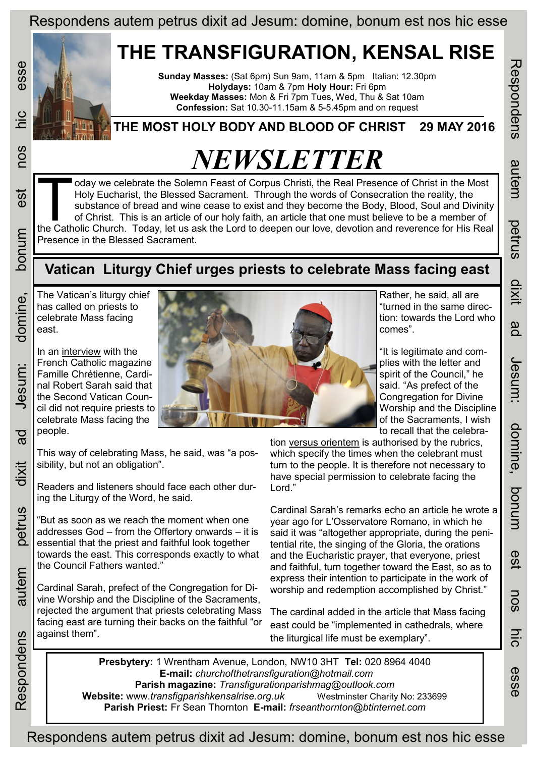# **THE TRANSFIGURATION, KENSAL RISE**

**Sunday Masses:** (Sat 6pm) Sun 9am, 11am & 5pm Italian: 12.30pm **Holydays:** 10am & 7pm **Holy Hour:** Fri 6pm **Weekday Masses:** Mon & Fri 7pm Tues, Wed, Thu & Sat 10am **Confession:** Sat 10.30-11.15am & 5-5.45pm and on request

### **THE MOST HOLY BODY AND BLOOD OF CHRIST 29 MAY 2016**

# *NEWSLETTER*

In the Most<br>Holy Eucharist, the Blessed Sacrament. Through the words of Consecration the reality, the<br>substance of bread and wine cease to exist and they become the Body, Blood, Soul and Divinity<br>of Christ. This is an arti oday we celebrate the Solemn Feast of Corpus Christi, the Real Presence of Christ in the Most Holy Eucharist, the Blessed Sacrament. Through the words of Consecration the reality, the substance of bread and wine cease to exist and they become the Body, Blood, Soul and Divinity of Christ. This is an article of our holy faith, an article that one must believe to be a member of Presence in the Blessed Sacrament.

## **Vatican Liturgy Chief urges priests to celebrate Mass facing east**

The Vatican's liturgy chief has called on priests to celebrate Mass facing east.

In an [interview](http://www.famillechretienne.fr/vie-chretienne/liturgie/cardinal-sarah-comment-remettre-dieu-au-caeur-de-la-liturgie-194987#.V0bFpURrE2U.twitter) with the French Catholic magazine Famille Chrétienne, Cardinal Robert Sarah said that the Second Vatican Council did not require priests to celebrate Mass facing the people.



This way of celebrating Mass, he said, was "a possibility, but not an obligation".

Readers and listeners should face each other during the Liturgy of the Word, he said.

"But as soon as we reach the moment when one addresses God – from the Offertory onwards – it is essential that the priest and faithful look together towards the east. This corresponds exactly to what the Council Fathers wanted."

Cardinal Sarah, prefect of the Congregation for Divine Worship and the Discipline of the Sacraments, rejected the argument that priests celebrating Mass facing east are turning their backs on the faithful "or against them".

Rather, he said, all are "turned in the same direction: towards the Lord who comes".

"It is legitimate and complies with the letter and spirit of the Council," he said. "As prefect of the Congregation for Divine Worship and the Discipline of the Sacraments, I wish to recall that the celebraRespondens autem petrus dixit ad Jesum: domine, bonum est nos hic esse

domine, bonum

**GS1** 

nos

hic

esse

Jesum:

Respondens

autem

petrus

dixit

gd

tion [versus orientem](https://en.wikipedia.org/wiki/Ad_orientem) is authorised by the rubrics, which specify the times when the celebrant must turn to the people. It is therefore not necessary to have special permission to celebrate facing the Lord."

Cardinal Sarah's remarks echo an [article](http://www.catholicworldreport.com/Item/3947/silent_action_of_the_heart.aspx) he wrote a year ago for L'Osservatore Romano, in which he said it was "altogether appropriate, during the penitential rite, the singing of the Gloria, the orations and the Eucharistic prayer, that everyone, priest and faithful, turn together toward the East, so as to express their intention to participate in the work of worship and redemption accomplished by Christ."

The cardinal added in the article that Mass facing east could be "implemented in cathedrals, where the liturgical life must be exemplary".

**Presbytery:** 1 Wrentham Avenue, London, NW10 3HT **Tel:** 020 8964 4040 **E-mail:** *churchofthetransfiguration@hotmail.com*  **Parish magazine:** *Transfigurationparishmag@outlook.com*  **Website:** www.*transfigparishkensalrise.org.uk* Westminster Charity No: 233699 **Parish Priest:** Fr Sean Thornton **E-mail:** *frseanthornton@btinternet.com* 

Respondens autem petrus dixit ad Jesum: domine, bonum est nos hic esse

esse

 $\frac{1}{10}$ 

COS

est

bonum